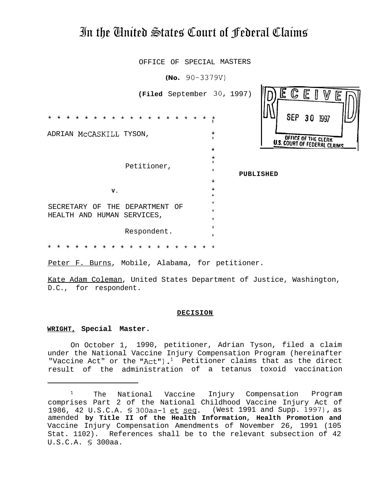# In the United States Court of Federal Claims

OFFICE OF SPECIAL MASTERS

 $(No. 90-3379V)$ E **(Filed** September 30, 1997) \*t\*\*\*\*\*\*\*\*\*\*\*\*\*\*\*\*\* SEP 30 \* ADRIAN MCCASKILL TYSON, OFFICE OF THE CLERK \* **U.S. COURT OF FEDERAL CLAIMS \*** \* Petitioner, \* \* **PUBLISHED \* V. <sup>f</sup> \*** SECRETARY OF THE DEPARTMENT OF HEALTH AND HUMAN SERVICES, \* Respondent. \* \*\*\*\*\*\*\*\*\*\*\*\*\*\*\*\*\*\*t

Peter F. Burns, Mobile, Alabama, for petitioner.

Kate Adam Coleman, United States Department of Justice, Washington, D.C., for respondent.

#### **DECISION**

#### **WRIGHT, Special Master.**

On October 1, 1990, petitioner, Adrian Tyson, filed a claim under the National Vaccine Injury Compensation Program (hereinafter "Vaccine Act" or the "Act").<sup>1</sup> Petitioner claims that as the direct result of the administration of a tetanus toxoid vaccination

<sup>&</sup>lt;sup>1</sup> The National Vaccine Injury Compensation Program comprises Part 2 of the National Childhood Vaccine Injury Act of 1986, 42 U.S.C.A. § 300aa-1 et seq. (West 1991 and Supp. 1997), as amended **by Title II of the Health Information, Health Promotion and** Vaccine Injury Compensation Amendments of November 26, 1991 (105 Stat. 1102). References shall be to the relevant subsection of 42 U.S.C.A. 5 300aa.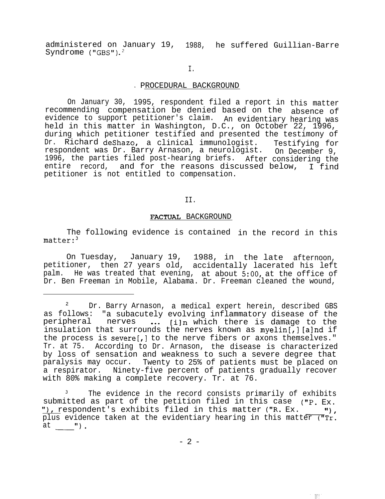administered on January 19, 1988, he suffered Guillian-Barre Syndrome ("GBS").<sup>2</sup>

I.

# . PROCEDURAL BACKGROUND

On January 30, 1995, respondent filed a report in this matter recommending compensation be denied based on the absence of evidence to support petitioner's claim. An evidentiary hearing was held in this matter in Washington, D.C., on October 22, 1996, during which petitioner testified and presented the testimony of Dr. Richard deshazo, a clinical immunologist. Testifying for respondent was Dr. Barry Arnason, a neurologist. On December 9, 1996, the parties filed post-hearing briefs. After considering the entire record, and for the reasons discussed below,  $\overline{I}$  find petitioner is not entitled to compensation.

II.

## FACTUAL BACKGROUND

The following evidence is contained in the record in this matter:3

On Tuesday, January 19, 1988, in the late afternoon, petitioner, then 27 years old, accidentally lacerated his left palm. He was treated that evening, at about 5:00, at the office of Dr. Ben Freeman in Mobile, Alabama. Dr. Freeman cleaned the wound,

The evidence in the record consists primarily of exhibits submitted as part of the petition filed in this case ("P. Ex. The evidence in the record consists primarily of exhibs<br>ubmitted as part of the petition filed in this case ("P. E<br>"), respondent's exhibits filed in this matter ("R. Ex.<br>plus evidence taken at the evidentiary hearing in t II I plus evidence taken at the evidentiary hearing in this matter ("Tr. "), resp<br>plus ev<br>at 11 ).

生相生

<sup>&</sup>lt;sup>2</sup> Dr. Barry Arnason, a medical expert herein, described GBS as follows: "a subacutely evolving inflammatory disease of the peripheral nerves ... [i]n which there is damage to the insulation that surrounds the nerves known as myelin[,] [a]nd if the process is severe[,] to the nerve fibers or axons themselves." Tr. at 75. According to Dr. Arnason, the disease is characterized by loss of sensation and weakness to such a severe degree that paralysis may occur. Twenty to 25% of patients must be placed on a respirator. Ninety-five percent of patients gradually recover with 80% making a complete recovery. Tr. at 76.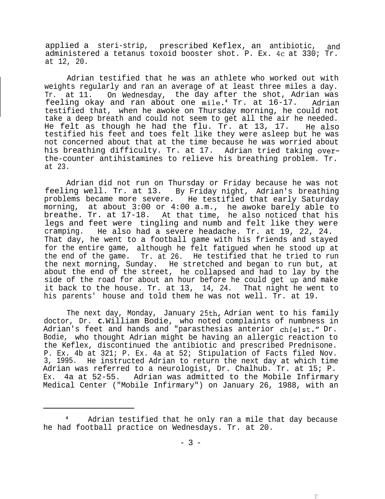applied a steri-strip, prescribed Keflex, an antibiotic, and administered a tetanus toxoid booster shot. P. Ex. 4c at 330; Tr. at 12, 20.

Adrian testified that he was an athlete who worked out with weights regularly and ran an average of at least three miles a day. Tr. at 11. On Wednesday, the day after the shot, Adrian was feeling okay and ran about one mile.4 Tr. at 16-17. Adrian testified that, when he awoke on Thursday morning, he could not take a deep breath and could not seem to get all the air he needed. He felt as though he had the flu. Tr. at 13, 17. He also testified his feet and toes felt like they were asleep but he was not concerned about that at the time because he was worried about his breathing difficulty. Tr. at 17. Adrian tried taking overthe-counter antihistamines to relieve his breathing problem. Tr. at 23.

Adrian did not run on Thursday or Friday because he was not feeling well. Tr. at 13. By Friday night, Adrian's breathing problems became more severe. He testified that early Saturday morning, at about 3:00 or 4:00 a.m., he awoke barely able to breathe. Tr. at 17-18. At that time, he also noticed that his legs and feet were tingling and numb and felt like they were cramping. He also had a severe headache. Tr. at 19, 22, 24. That day, he went to a football game with his friends and stayed for the entire game, although he felt fatigued when he stood up at the end of the game. Tr. at 26. He testified that he tried to run the next morning, Sunday. He stretched and began to run but, at about the end of the street, he collapsed and had to lay by the side of the road for about an hour before he could get up and make it back to the house. Tr. at 13, 14, 24. That night he went to his parents' house and told them he was not well. Tr. at 19.

The next day, Monday, January 25th, Adrian went to his family doctor, Dr. **C.** William Bodie, who noted complaints of numbness in Adrian's feet and hands and "parasthesias anterior ch[e]st." Dr. Bodie, who thought Adrian might be having an allergic reaction to the Keflex, discontinued the antibiotic and prescribed Prednisone. P. Ex. 4b at 321; P. Ex. 4a at 52; Stipulation of Facts filed Nov. 3, 1995. He instructed Adrian to return the next day at which time Adrian was referred to a neurologist, Dr. Chalhub. Tr. at 15; P. Ex. 4a at 52-55. Adrian was admitted to the Mobile Infirmary Medical Center ("Mobile Infirmary") on January 26, 1988, with an

Adrian testified that he only ran a mile that day because he had football practice on Wednesdays. Tr. at 20.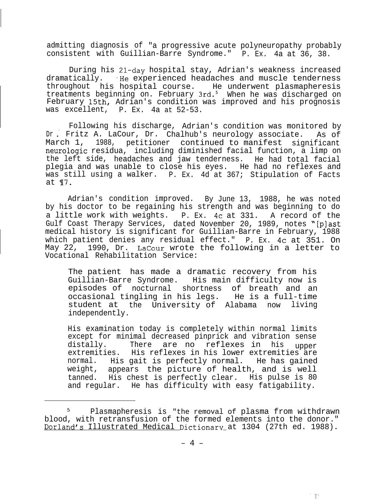admitting diagnosis of "a progressive acute polyneuropathy probably consistent with Guillian-Barre Syndrome." P. Ex. 4a at 36, 38.

During his Zl-day hospital stay, Adrian's weakness increased dramatically. He experienced headaches and muscle tenderness throughout his hospital course. He underwent plasmapheresis treatments beginning on. February 3rd.' When he was discharged on February 15th, Adrian's condition was improved and his prognosis was excellent, P. Ex. 4a at 52-53.

Dr. Fritz A. LaCour, Dr. Chalhub's neurology associate. As of Following his discharge, Adrian's condition was monitored by March 1, 1988, petitioner continued to manifest significant neurologic residua, including diminished facial function, a limp on the left side, headaches and jaw tenderness. He had total facial plegia and was unable to close his eyes. He had no reflexes and was still using a walker. P. Ex. 4d at 367; Stipulation of Facts at **17.** 

Adrian's condition improved. By June 13, 1988, he was noted by his doctor to be regaining his strength and was beginning to do a little work with weights. P. Ex. 4c at 331. A record of the Gulf Coast Therapy Services, dated November 20, 1989, notes "[plast medical history is significant for Guillian-Barre in February, 1988 which patient denies any residual effect." P. Ex. 4c at 351. On May 22, 1990, Dr. LaCour wrote the following in a letter to Vocational Rehabilitation Service:

The patient has made a dramatic recovery from his Guillian-Barre Syndrome. His main difficulty now is episodes of nocturnal shortness of breath and an occasional tingling in his legs. He is a full-time student at the University of Alabama now living independently.

His examination today is completely within normal limits except for minimal decreased pinprick and vibration sense distally. There are no reflexes in his upper extremities. His reflexes in his lower extremities are normal. His gait is perfectly normal. He has gained weight, appears the picture of health, and is well tanned. His chest is perfectly clear. His pulse is 80 and regular. He has difficulty with easy fatigability.

<sup>5</sup> Plasmapheresis is "the removal of plasma from withdrawn blood, with retransfusion of the formed elements into the donor." Dorland's Illustrated Medical Dictionary at 1304 (27th ed. 1988).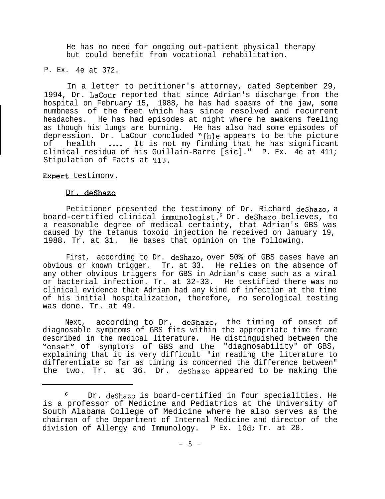He has no need for ongoing out-patient physical therapy but could benefit from vocational rehabilitation.

P. Ex. 4e at 372.

In a letter to petitioner's attorney, dated September 29, 1994, Dr. LaCour reported that since Adrian's discharge from the hospital on February 15, 1988, he has had spasms of the jaw, some numbness of the feet which has since resolved and recurrent<br>headaches. He has had episodes at night where he awakens feeling He has had episodes at night where he awakens feeling as though his lungs are burning. He has also had some episodes of depression. Dr. LaCour concluded "[h]e appears to be the picture<br>of health .... It is not my finding that he has significant health .... It is not my finding that he has significant clinical residua of his Guillain-Barre [sic]." P. Ex. 4e at 411; Stipulation of Facts at ¶13.

# Expert testimonv.

# Dr. deShazo

Petitioner presented the testimony of Dr. Richard deshazo, a board-certified clinical immunologist.6 Dr. deShazo believes, to a reasonable degree of medical certainty, that Adrian's GBS was caused by the tetanus toxoid injection he received on January 19, 1988. Tr. at 31. He bases that opinion on the following.

First, according to Dr. deshazo, over 50% of GBS cases have an obvious or known trigger. Tr. at 33. He relies on the absence of any other obvious triggers for GBS in Adrian's case such as a viral or bacterial infection. Tr. at 32-33. He testified there was no clinical evidence that Adrian had any kind of infection at the time of his initial hospitalization, therefore, no serological testing was done. Tr. at 49.

Next, according to Dr. deshazo, the timing of onset of diagnosable symptoms of GBS fits within the appropriate time frame described in the medical literature. He distinguished between the "onset" of symptoms of GBS and the "diagnosability" of GBS, explaining that it is very difficult "in reading the literature to differentiate so far as timing is concerned the difference between" the two. Tr. at 36. Dr. deShazo appeared to be making the

Dr. deShazo is board-certified in four specialities. He is a professor of Medicine and Pediatrics at the University of South Alabama College of Medicine where he also serves as the chairman of the Department of Internal Medicine and director of the division of Allergy and Immunology. P Ex. 10d; Tr. at 28.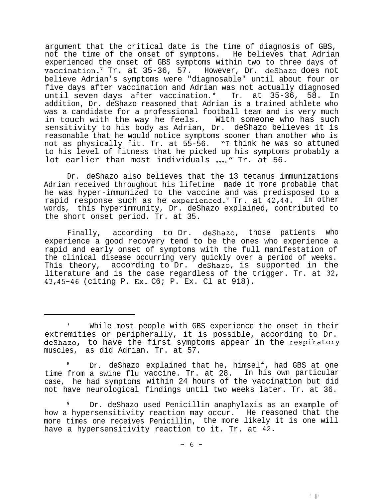argument that the critical date is the time of diagnosis of GBS, not the time of the onset of symptoms. He believes that Adrian experienced the onset of GBS symptoms within two to three days of vaccination.7 Tr. at 35-36, 57. However, Dr. deShazo does not believe Adrian's symptoms were "diagnosable" until about four or five days after vaccination and Adrian was not actually diagnosed until seven days after vaccination.\* Tr. at 35-36, 58. In addition, Dr. deShazo reasoned that Adrian is a trained athlete who was a candidate for a professional football team and is very much in touch with the way he feels. With someone who has such sensitivity to his body as Adrian, Dr. deShazo believes it is reasonable that he would notice symptoms sooner than another who is not as physically fit. Tr. at 55-56. "I think he was so attuned to his level of fitness that he picked up his symptoms probably a lot earlier than most individuals ...." Tr. at 56.

Dr. deShazo also believes that the 13 tetanus immunizations Adrian received throughout his lifetime made it more probable that he was hyper-immunized to the vaccine and was predisposed to a rapid response such as he experienced.<sup>9</sup> Tr. at  $42,44$ . In other words, this hyperimmunity, Dr. deShazo explained, contributed to the short onset period. Tr. at 35.

Finally, according to Dr. deshazo, those patients who experience a good recovery tend to be the ones who experience a rapid and early onset of symptoms with the full manifestation of the clinical disease occurring very quickly over a period of weeks. This theory, according to Dr. deshazo, is supported in the literature and is the case regardless of the trigger. Tr. at 32, 43, 45-46 (citing P. Ex. C6; P. Ex. Cl at 918).

<sup>8</sup> Dr. deShazo explained that he, himself, had GBS at one time from a swine flu vaccine. Tr. at 28. In his own particular case, he had symptoms within 24 hours of the vaccination but did not have neurological findings until two weeks later. Tr. at 36.

<sup>9</sup> Dr. deShazo used Penicillin anaphylaxis as an example of how a hypersensitivity reaction may occur. He reasoned that the more times one receives Penicillin, the more likely it is one will have a hypersensitivity reaction to it. Tr. at 42.

一眼!

While most people with GBS experience the onset in their extremities or peripherally, it is possible, according to Dr. deShazo, to have the first symptoms appear in the respiratory muscles, as did Adrian. Tr. at 57.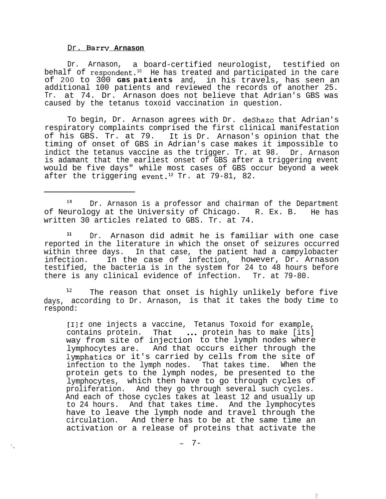#### Dr. **Barrv Arnason**

k,

Dr. Arnason, a board-certified neurologist, testified on behalf of respondent.<sup>10</sup> He has treated and participated in the care of 200 to 300 **GBS patients** and, in his travels, has seen an additional 100 patients and reviewed the records of another 25. Tr. at 74. Dr. Arnason does not believe that Adrian's GBS was caused by the tetanus toxoid vaccination in question.

To begin, Dr. Arnason agrees with Dr. deShazo that Adrian's respiratory complaints comprised the first clinical manifestation of his GBS. Tr. at 79. It is Dr. Arnason's opinion that the timing of onset of GBS in Adrian's case makes it impossible to indict the tetanus vaccine as the trigger. Tr. at 98. Dr. Arnason is adamant that the earliest onset of GBS after a triggering event would be five days" while most cases of GBS occur beyond a week after the triggering event.<sup>12</sup> Tr. at  $79-81$ , 82.

<sup>10</sup> Dr. Arnason is a professor and chairman of the Department of Neurology at the University of Chicago. R. Ex. B. He has written 30 articles related to GBS. Tr. at 74.

**<sup>11</sup>** Dr. Arnason did admit he is familiar with one case reported in the literature in which the onset of seizures occurred within three days. In that case, the patient had a campylobacter infection. In the case of infection, however, Dr. Arnason testified, the bacteria is in the system for 24 to 48 hours before there is any clinical evidence of infection. Tr. at 79-80.

12 The reason that onset is highly unlikely before five days, according to Dr. Arnason, is that it takes the body time to respond:

[I]f one injects a vaccine, Tetanus Toxoid for example, contains protein. That  $\cdots$  protein has to make [its] way from site of injection to the lymph nodes where lymphocytes are. And that occurs either through the lymphatics or it's carried by cells from the site of infection to the lymph nodes. That takes time. When the protein gets to the lymph nodes, be presented to the lymphocytes, which then have to go through cycles of proliferation. And they go through several such cycles. And each of those cycles takes at least 12 and usually up to 24 hours. And that takes time. And the lymphocytes have to leave the lymph node and travel through the circulation. And there has to be at the same time an activation or a release of proteins that activate the

1'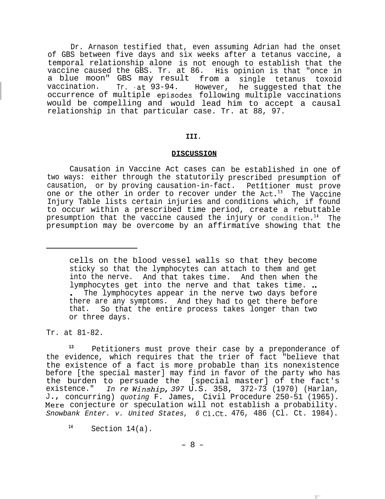Dr. Arnason testified that, even assuming Adrian had the onset of GBS between five days and six weeks after a tetanus vaccine, a temporal relationship alone is not enough to establish that the vaccine caused the GBS. Tr. at 86. His opinion is that "once in a blue moon" GBS may result from a single tetanus toxoid<br>vaccination. Tr. at 93-94. However, he suggested that the However, he suggested that the occurrence of multiple .episodes following multiple vaccinations would be compelling and would lead him to accept a causal relationship in that particular case. Tr. at 88, 97.

# **III.**

# **DISCUSSION**

Causation in Vaccine Act cases can be established in one of two ways: either through the statutorily prescribed presumption of causation, or by proving causation-in-fact. Petitioner must prove one or the other in order to recover under the  $Act.^{13}$  The Vaccine Injury Table lists certain injuries and conditions which, if found to occur within a prescribed time period, create a rebuttable presumption that the vaccine caused the injury or condition.<sup>14</sup> The presumption may be overcome by an affirmative showing that the

cells on the blood vessel walls so that they become sticky so that the lymphocytes can attach to them and get into the nerve. And that takes time. And then when the lymphocytes get into the nerve and that takes time. .. . The lymphocytes appear in the nerve two days before there are any symptoms. And they had to get there before that. So that the entire process takes longer than two or three days.

Tr. at 81-82.

**<sup>13</sup>** Petitioners must prove their case by a preponderance of the evidence, which requires that the trier of fact "believe that the existence of a fact is more probable than its nonexistence before [the special master] may find in favor of the party who has the burden to persuade the [special master] of the fact's existence." *In re Winship, 397* U.S. 358, 372-73 (1970) (Harlan, J concurring) *quoting* F. James, Civil Procedure 250-51 (1965). Mere conjecture or speculation will not establish a probability. *Snowbank Enter. v. United States, 6* Cl.Ct. 476, 486 (Cl. Ct. 1984).

 $^{14}$  Section  $14(a)$ .

 $- 8 -$ 

111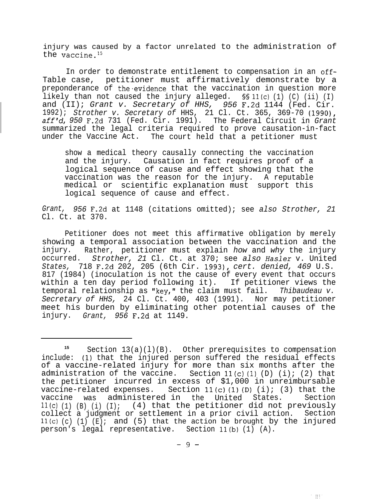injury was caused by a factor unrelated to the administration of the vaccine. $15$ 

In order to demonstrate entitlement to compensation in an off-Table case, petitioner must affirmatively demonstrate by a preponderance of the evidence that the vaccination in question more likely than not caused the injury alleged.  $\frac{1}{1}(c)$  (1) (C) (ii) (I) and (II); *Grant v. Secretary of HHS, 956* F.Zd 1144 (Fed. Cir. 1992); *Strother v. Secretary of* HHS, 21 Cl. Ct. 365, 369-70 (1990), *aff'd, 950* F.2d 731 (Fed. Cir. 1991). The Federal Circuit in *Grant* summarized the legal criteria required to prove causation-in-fact under the Vaccine Act. The court held that a petitioner must

show a medical theory causally connecting the vaccination and the injury. Causation in fact requires proof of a logical sequence of cause and effect showing that the vaccination was the reason for the injury. A reputable medical or scientific explanation must support this logical sequence of cause and effect.

*Grant, 956* F.2d at 1148 (citations omitted); see *also Strother, 21* Cl. Ct. at 370.

Petitioner does not meet this affirmative obligation by merely showing a temporal association between the vaccination and the injury. Rather, petitioner must explain *how* and *why* the injury occurred. *Strother, 21* Cl. Ct. at 370; see *also* Hasler v. United *States,* 718 F.2d 202, 205 (6th Cir. 1993), *cert. denied, 469* U.S. 817 (1984) (inoculation is not the cause of every event that occurs within a ten day period following it). If petitioner views the temporal relationship as "key," the claim must fail. *Thibaudeau v. Secretary of HHS,* 24 Cl. Ct. 400, 403 (1991). Nor may petitioner meet his burden by eliminating other potential causes of the injury. *Grant, 956* F.Zd at 1149.

一下打

**<sup>15</sup>** Section 13(a)(l)(B). Other prerequisites to compensation include: (1) that the injured person suffered the residual effects of a vaccine-related injury for more than six months after the administration of the vaccine. Section  $11(c)(1)(D)$  (i); (2) that the petitioner incurred in excess of \$1,000 in unreimbursable vaccine-related expenses. Section  $11(c)(1)(D)$  (i); (3) that the vaccine was administered in the United States. Section  $11(c)$  (1) (B) (i) (I); (4) that the petitioner did not previously collect a judgment or settlement in a prior civil action. Section  $11(c)$  (c) (1) (E); and (5) that the action be brought by the injured person's legal representative. Section 11(b) (1) (A).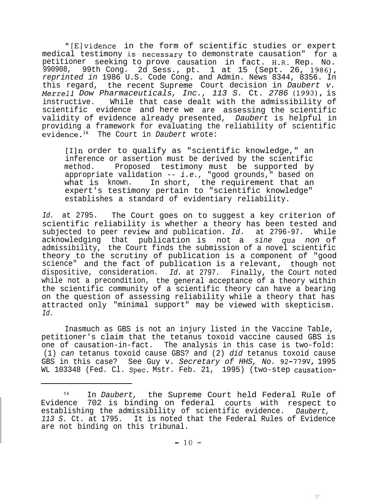"[Elvidence in the form of scientific studies or expert medical testimony is'necessary to demonstrate causation" for a petitioner seeking to prove causation in fact. H-R. Rep. No. 990908, 99th Cong. 2d Sess., pt. 1 at 15 (Sept. 26, 1986), *reprinted in* 1986 U.S. Code Cong. and Admin. News 8344, 8356. In this regard, the recent Supreme Court decision in *Daubert v. Merrel1 Dow Pharmaceuticals, Inc., 113 S.* Ct. *2786 (19931,* is instructive. While that case dealt with the admissibility of scientific evidence and here we are assessing the scientific validity of evidence already presented, *Daubert* is helpful in providing a framework for evaluating the reliability of scientific evidence.16 The Court in *Daubert* wrote:

[Iln order to qualify as "scientific knowledge," an inference or assertion must be derived by the scientific method. Proposed testimony must be supported by appropriate validation -- *i.e.*, "good grounds," based on<br>what is known. In short, the requirement that an In short, the requirement that an expert's testimony pertain to "scientific knowledge" establishes a standard of evidentiary reliability.

*Id.* at 2795. The Court goes on to suggest a key criterion of scientific reliability is whether a theory has been tested and subjected to peer review and publication. *Id.* at 2796-97. While acknowledging that publication is not a *sine qua non* of admissibility, the Court finds the submission of a novel scientific theory to the scrutiny of publication is a component of "good science" and the fact of publication is a relevant, though not dispositive, consideration. *Id.* at 2797. Finally, the Court noted while not a precondition, the general acceptance of a theory within the scientific community of a scientific theory can have a bearing on the question of assessing reliability while a theory that has attracted only "minimal support" may be viewed with skepticism. *Id.*

Inasmuch as GBS is not an injury listed in the Vaccine Table, petitioner's claim that the tetanus toxoid vaccine caused GBS is one of causation-in-fact. The analysis in this case is two-fold: (1) *can* tetanus toxoid cause GBS? and (2) *did* tetanus toxoid cause GBS in this case? See Guy v. *Secretary of HHS, No.* 92-779V, 1995 WL 103348 (Fed. Cl. Spec. Mstr. Feb. 21, 1995) (two-step causation-

<sup>16</sup> In *Daubert,* the Supreme Court held Federal Rule of Evidence 702 is binding on federal courts with respect to establishing the admissibility of scientific evidence. *Daubert, 113 S.* Ct. at 1795. It is noted that the Federal Rules of Evidence are not binding on this tribunal.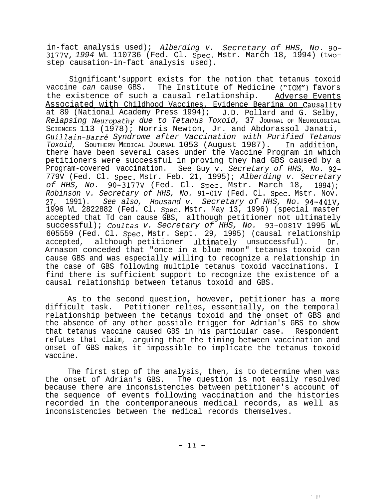in-fact analysis used); *Alberding v. Secretary of HHS, No. 90- 3177V, 1994* WL 110736 (Fed. Cl. Spec. Mstr. March 18, 1994) (twostep causation-in-fact analysis used).

Significant'support exists for the notion that tetanus toxoid vaccine *can* cause GBS. The Institute of Medicine ("IOM") favors the existence of such a causal relationship. Adverse Events Associated with Childhood Vaccines, Evidence Bearina on Causalitv at 89 (National Academy Press 1994); J.D. Pollard and G. Selby, *Relapsing Neuropathy due to Tetanus Toxoid,* 37 JOURNAL OF NEUROLOGICAL SCIENCES 113 (1978); Norris Newton, Jr. and Abdorassol Janati, *Guillain-Barr6 Syndrome after Vaccination with Purified Tetanus Toxoid,* SOUTHERN MEDICAL JOURNAL 1053 (August 1987). In addition, there have been several cases under the Vaccine Program in which petitioners were successful in proving they had GBS caused by a Program-covered vaccination. See Guy v. *Secretary of HHS, No. 92-* 779V (Fed. Cl. Spec. Mstr. Feb. 21, 1995); *Alberding v. Secretary of HHS, No.* 90-3177V (Fed. Cl. Spec. Mstr. March 18, 1994); *Robinson v. Secretary of HHS, No.* 91-OlV (Fed. Cl. Spec. Mstr. Nov. 27, 1991). *See also, Housand v. Secretary of HHS, No.* 94-441V, 1996 WL 2822882 (Fed. Cl. Spec. Mstr. May 13, 1996) (special master accepted that Td can cause GBS, although petitioner not ultimately successful); *Coultas v. Secretary of HHS, No.* 93-0081V 1995 WL 605559 (Fed. Cl. Spec. Mstr. Sept. 29, 1995) (causal relationship accepted, although petitioner ultimately unsuccessful). Dr. Arnason conceded that "once in a blue moon" tetanus toxoid can cause GBS and was especially willing to recognize a relationship in the case of GBS following multiple tetanus toxoid vaccinations. I find there is sufficient support to recognize the existence of a causal relationship between tetanus toxoid and GBS.

As to the second question, however, petitioner has a more difficult task. Petitioner relies, essentially, on the temporal relationship between the tetanus toxoid and the onset of GBS and the absence of any other possible trigger for Adrian's GBS to show that tetanus vaccine caused GBS in his particular case. Respondent refutes that claim, arguing that the timing between vaccination and onset of GBS makes it impossible to implicate the tetanus toxoid vaccine.

The first step of the analysis, then, is to determine when was the onset of Adrian's GBS. The question is not easily resolved because there are inconsistencies between petitioner's account of the sequence of events following vaccination and the histories recorded in the contemporaneous medical records, as well as inconsistencies between the medical records themselves.

 $||$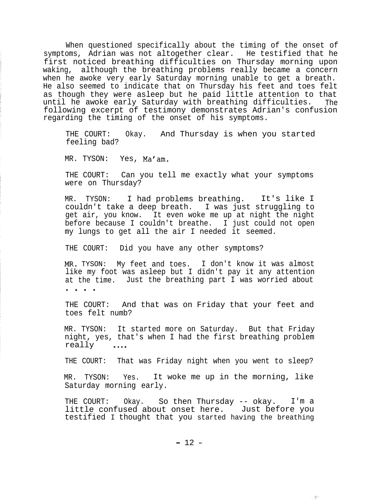When questioned specifically about the timing of the onset of symptoms, Adrian was not altogether clear. He testified that he first noticed breathing difficulties on Thursday morning upon waking, although the breathing problems really became a concern when he awoke very early Saturday morning unable to get a breath. He also seemed to indicate that on Thursday his feet and toes felt as though they were asleep but he paid little attention to that until he awoke early Saturday with breathing difficulties. The following excerpt of testimony demonstrates Adrian's confusion regarding the timing of the onset of his symptoms.

THE COURT: Okay. And Thursday is when you started feeling bad?

MR. TYSON: Yes, Ma'am.

THE COURT: Can you tell me exactly what your symptoms were on Thursday?

MR. TYSON: I had problems breathing. It's like I couldn't take a deep breath. I was just struggling to get air, you know. It even woke me up at night the night before because I couldn't breathe. I just could not open my lungs to get all the air I needed it seemed.

THE COURT: Did you have any other symptoms?

MR. TYSON: My feet and toes. I don't know it was almost like my foot was asleep but I didn't pay it any attention at the time. Just the breathing part I was worried about . . . .

THE COURT: And that was on Friday that your feet and toes felt numb?

MR. TYSON: It started more on Saturday. But that Friday night, yes, that's when I had the first breathing problem really ....

THE COURT: That was Friday night when you went to sleep?

MR. TYSON: Yes. It woke me up in the morning, like Saturday morning early.

THE COURT: Okay. So then Thursday -- okay. I'm a little confused about onset here. Just before you testified I thought that you started having the breathing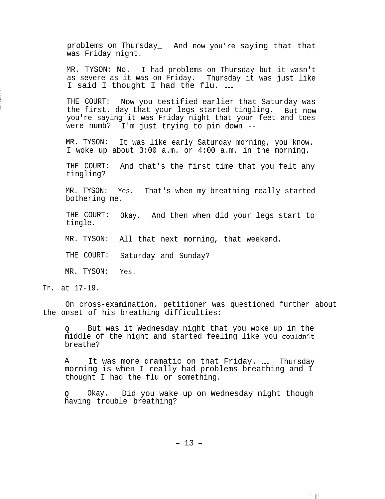problems on Thursday\_ And now you're saying that that was Friday night.

MR. TYSON: No. I had problems on Thursday but it wasn't as severe as it was on Friday. Thursday it was just like I said I thought I had the flu. ...

THE COURT: Now you testified earlier that Saturday was the first. day that your legs started tingling. But now you're saying it was Friday night that your feet and toes were numb? I'm just trying to pin down --

MR. TYSON: It was like early Saturday morning, you know. I woke up about 3:00 a.m. or 4:00 a.m. in the morning.

THE COURT: And that's the first time that you felt any tingling?

MR. TYSON: Yes. That's when my breathing really started bothering me.

THE COURT: Okay. And then when did your legs start to tingle.

MR. TYSON: All that next morning, that weekend.

THE COURT: Saturday and Sunday?

MR. TYSON: Yes.

Tr. at 17-19.

On cross-examination, petitioner was questioned further about the onset of his breathing difficulties:

**Q** But was it Wednesday night that you woke up in the middle of the night and started feeling like you couldn'<t breathe?

A It was more dramatic on that Friday. ... Thursday morning is when I really had problems breathing and I thought I had the flu or something.

**Q** Okay. Did you wake up on Wednesday night though having trouble breathing?

 $- 13 -$ 

2. 把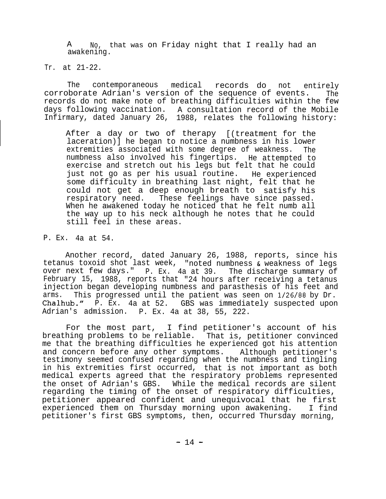A No, that was on Friday night that I really had an awakening.

Tr. at 21-22.

The contemporaneous medical records do not entirely corroborate Adrian's version of the sequence of events. The records do not make note of breathing difficulties within the few days following vaccination. A consultation record of the Mobile Infirmary, dated January 26, 1988, relates the following history:

After a day or two of therapy [(treatment for the laceration)] he began to notice a numbness in his lower extremities associated with some degree of weakness. The numbness also involved his fingertips. He attempted to exercise and stretch out his legs but felt that he could just not go as per his usual routine. He experienced some difficulty in breathing last night, felt that he could not get a deep enough breath to satisfy his respiratory need. These feelings have since passed. When he awakened today he noticed that he felt numb all the way up to his neck although he notes that he could still feel in these areas.

P. Ex. 4a at 54.

Another record, dated January 26, 1988, reports, since his tetanus toxoid shot last week, "noted numbness & weakness of legs over next few days." P. Ex. 4a at 39. The discharge summary of February 15, 1988, reports that "24 hours after receiving a tetanus injection began developing numbness and parasthesis of his feet and arms. This progressed until the patient was seen on l/26/88 by Dr. Chalhub." P. Ex. 4a at 52. GBS was immediately suspected upon Adrian's admission. P. Ex. 4a at 38, 55, 222.

For the most part, I find petitioner's account of his breathing problems to be reliable. That is, petitioner convinced me that the breathing difficulties he experienced got his attention and concern before any other symptoms. Although petitioner's testimony seemed confused regarding when the numbness and tingling in his extremities first occurred, that is not important as both medical experts agreed that the respiratory problems represented the onset of Adrian's GBS. While the medical records are silent regarding the timing of the onset of respiratory difficulties, petitioner appeared confident and unequivocal that he first experienced them on Thursday morning upon awakening. I find petitioner's first GBS symptoms, then, occurred Thursday morning,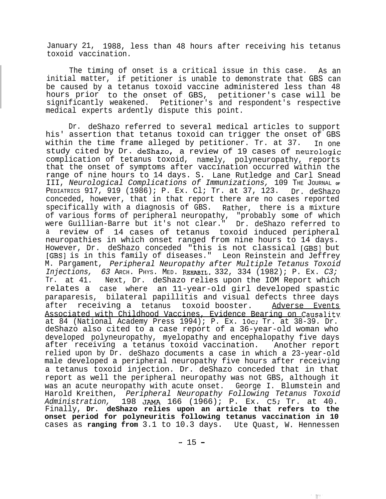January 21, 1988, less than 48 hours after receiving his tetanus toxoid vaccination.

The timing of onset is a critical issue in this case. As an initial matter, if petitioner is unable to demonstrate that GBS can be caused by a tetanus toxoid vaccine administered less than 48 hours prior to the onset of GBS, petitioner's case will be significantly weakened. Petitioner's and respondent's respective medical experts ardently dispute this point.

Dr. deShazo referred to several medical articles to support his' assertion that tetanus toxoid can trigger the onset of GBS within the time frame alleged by petitioner. Tr. at 37. In one study cited by Dr. deshazo, a review of 19 cases of neurologic complication of tetanus toxoid, namely, polyneuropathy, reports that the onset of symptoms after vaccination occurred within the range of nine hours to 14 days. S. Lane Rutledge and Carl Snead III, *Neurological Complications of Immunizations,* 109 THE JOURNAL **OF** PEDIATRICS 917, 919 (1986); P. Ex. Cl; Tr. at 37, 123. Dr. deShazo conceded, however, that in that report there are no cases reported specifically with a diagnosis of GBS. Rather, there is a mixture of various forms of peripheral neuropathy, "probably some of which were Guillian-Barre but it's not clear." Dr. deShazo referred to a review of 14 cases of tetanus toxoid induced peripheral neuropathies in which onset ranged from nine hours to 14 days. However, Dr. deShazo conceded "this is not classical [GBSI but [GBS] is in this family of diseases." Leon Reinstein and Jeffrey M. Pargament, *Peripheral Neuropathy after Multiple Tetanus Toxoid Injections, 63* ARCH. PHYS. MED. REHABIL. 332, 334 (1982); P. Ex. *C3;* Tr. at 41. Next, Dr. deShazo relies upon the IOM Report which relates a case where an 11-year-old girl developed spastic paraparesis, bilateral papillitis and visual defects three days after receiving a tetanus toxoid booster. Adverse Events Associated with Childhood Vaccines, Evidence Bearing on Causalitv at 84 (National Academy Press 1994); P. Ex.  $10c$ ; Tr. at 38-39. Dr. deShazo also cited to a case report of a 36-year-old woman who developed polyneuropathy, myelopathy and encephalopathy five days after receiving a tetanus toxoid vaccination. Another report relied upon by Dr. deShazo documents a case in which a 23-year-old male developed a peripheral neuropathy five hours after receiving a tetanus toxoid injection. Dr. deShazo conceded that in that report as well the peripheral neuropathy was not GBS, although it was an acute neuropathy with acute onset. George I. Blumstein and Harold Kreithen, *Peripheral Neuropathy Following Tetanus Toxoid Administration,* 198 JAMA 166 (1966); P. Ex. C5; Tr. at 40. Finally, **Dr. deShazo relies upon an article that refers to the onset period for polyneuritis following tetanus vaccination in 10** cases as **ranging from** 3.1 to 10.3 days. Ute Quast, W. Hennessen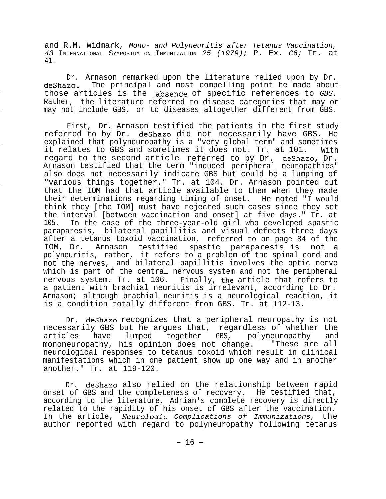and R.M. Widmark, *Mono- and Polyneuritis after Tetanus Vaccination, 43* INTERNATIONAL SYMPOSIUM ON IMMUNIZATION *25 (1979);* P. Ex. *C6;* Tr. at 41.

Dr. Arnason remarked upon the literature relied upon by Dr. deShazo. The principal and most compelling point he made about those articles is the .absence of specific references to *GBS.* Rather, the literature referred to disease categories that may or may not include GBS, or to diseases altogether different from GBS.

First, Dr. Arnason testified the patients in the first study referred to by Dr. deShazo did not necessarily have GBS. He explained that polyneuropathy is a "very global term" and sometimes it relates to GBS and sometimes it does not. Tr. at 101. With regard to the second article referred to by Dr. deshazo, Dr. Arnason testified that the term "induced peripheral neuropathies" also does not necessarily indicate GBS but could be a lumping of "various things together." Tr. at 104. Dr. Arnason pointed out that the IOM had that article available to them when they made their determinations regarding timing of onset. He noted "I would think they [the IOM] must have rejected such cases since they set the interval [between vaccination and onset] at five days." Tr. at 105. In the case of the three-year-old girl who developed spastic paraparesis, bilateral papillitis and visual defects three days after a tetanus toxoid vaccination, referred to on page 84 of the IOM, Dr. Arnason testified spastic paraparesis is not a polyneuritis, rather, it refers to a problem of the spinal cord and not the nerves, and bilateral papillitis involves the optic nerve which is part of the central nervous system and not the peripheral nervous system. Tr. at 106. Finally, the article that refers to a patient with brachial neuritis is irrelevant, according to Dr. Arnason; although brachial neuritis is a neurological reaction, it is a condition totally different from GBS. Tr. at 112-13.

Dr. deShazo recognizes that a peripheral neuropathy is not necessarily GBS but he argues that, regardless of whether the articles have lumped together GBS, polyneuropathy and mononeuropathy, his opinion does not change. "These are all neurological responses to tetanus toxoid which result in clinical manifestations which in one patient show up one way and in another another." Tr. at 119-120.

Dr. deShazo also relied on the relationship between rapid onset of GBS and the completeness of recovery. He testified that, according to the literature, Adrian's complete recovery is directly related to the rapidity of his onset of GBS after the vaccination. In the article, *Neurologic Complications of Immunizations,* the author reported with regard to polyneuropathy following tetanus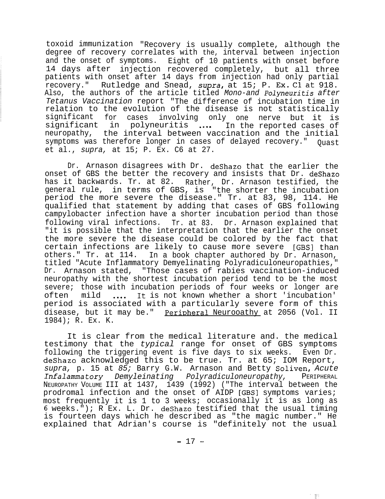toxoid immunization "Recovery is usually complete, although the degree of recovery correlates with the, interval between injection and the onset of symptoms. Eight of 10 patients with onset before 14 days after injection recovered completely, but all three patients with onset after 14 days from injection had only partial recovery." Rutledge and Snead, supra, at 15; P. Ex. *Cl at* 918. Also, the authors of the article titled *Mono-and Polyneuritis after Tetanus Vaccination* report "The difference of incubation time in relation to the evolution of the disease is not statistically significant for cases involving only one nerve but it is<br>significant in polyneuritis .... In the reported cases of significant in polyneuritis .... neuropathy, the interval between vaccination and the initial symptoms was therefore longer in cases of delayed recovery." Ouast et al., *supra,* at 15; P. Ex. C6 at 27.

Dr. Arnason disagrees with Dr. deShazo that the earlier the onset of GBS the better the recovery and insists that Dr. deShazo has it backwards. Tr. at 82. Rather, Dr. Arnason testified, the general rule, in terms of GBS, is "the shorter the incubation period the more severe the disease." Tr. at 83, 98, 114. He qualified that statement by adding that cases of GBS following campylobacter infection have a shorter incubation period than those following viral infections. Tr. at 83. Dr. Arnason explained that "it is possible that the interpretation that the earlier the onset the more severe the disease could be colored by the fact that certain infections are likely to cause more severe [GBS] than others." Tr. at 114. In a book chapter authored by Dr. Arnason, titled "Acute Inflammatory Demyelinating Polyradiculoneuropathies," Dr. Arnason stated, "Those cases of rabies vaccination-induced neuropathy with the shortest incubation period tend to be the most severe; those with incubation periods of four weeks or longer are often mild .... It is not known whether a short 'incubation' period is associated with a particularly severe form of this disease, but it may be." Peripheral Neurooathy at 2056 (Vol. II 1984); R. Ex. K.

It is clear from the medical literature and. the medical testimony that the *typical* range for onset of GBS symptoms following the triggering event is five days to six weeks. Even Dr. deShazo acknowledged this to be true. Tr. at 65; IOM Report, *supra,* p. 15 at *85;* Barry G.W. Arnason and Betty Soliven, *Acute Infalammatory Demyleinating Polyradiculoneuropathy,* PERIPHERAL NEUROPATHY VOLUME III at 1437, 1439 (1992) ("The interval between the prodromal infection and the onset of AIDP [GBS] symptoms varies; most frequently it is 1 to 3 weeks; occasionally it is as long as 6 weeks. $\overline{N}$ ); R Ex. L. Dr. deShazo testified that the usual timing is fourteen days which he described as "the magic number." He explained that Adrian's course is "definitely not the usual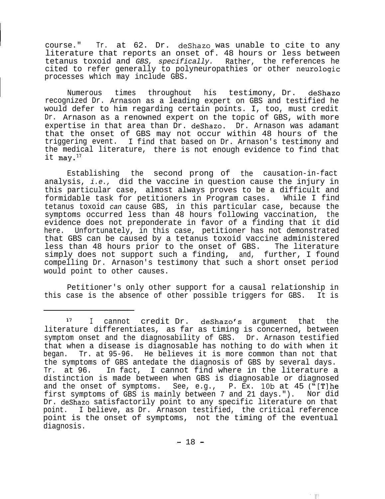course." Tr. at 62. Dr. deShazo was unable to cite to any literature that reports an onset of. 48 hours or less between tetanus toxoid and *GBS, specifically.* Rather, the references he cited to refer generally to polyneuropathies or other neurologic processes which may include GBS.

Numerous times throughout his testimony, Dr. deShazo recognized Dr. Arnason as a leading expert on GBS and testified he would defer to him regarding certain points. I, too, must credit Dr. Arnason as a renowned expert on the topic of GBS, with more expertise in that area than Dr. deShazo. Dr. Arnason was adamant that the onset of GBS may not occur within 48 hours of the triggering event. I find that based on Dr. Arnason's testimony and the medical literature, there is not enough evidence to find that it  $\text{mav.}^{17}$ 

Establishing the second prong of the causation-in-fact analysis, *i.e.,* did the vaccine in question cause the injury in this particular case, almost always proves to be a difficult and formidable task for petitioners in Program cases. While I find tetanus toxoid *can* cause GBS, in this particular case, because the symptoms occurred less than 48 hours following vaccination, the evidence does not preponderate in favor of a finding that it did here. Unfortunately, in this case, petitioner has not demonstrated that GBS can be caused by a tetanus toxoid vaccine administered less than 48 hours prior to the onset of GBS. The literature simply does not support such a finding, and, further, I found compelling Dr. Arnason's testimony that such a short onset period would point to other causes.

Petitioner's only other support for a causal relationship in this case is the absence of other possible triggers for GBS. It is

胖

<sup>17</sup> <sup>I</sup> cannot credit Dr. deshazo's argument that the literature differentiates, as far as timing is concerned, between symptom onset and the diagnosability of GBS. Dr. Arnason testified that when a disease is diagnosable has nothing to do with when it began. Tr. at 95-96. He believes it is more common than not that the symptoms of GBS antedate the diagnosis of GBS by several days. Tr. at 96. In fact, I cannot find where in the literature a distinction is made between when GBS is diagnosable or diagnosed and the onset of symptoms. See, e.g., P. Ex. 10b at 45 ("[T]he first symptoms of GBS is mainly between 7 and 21 days."). Nor did Dr. deShazo satisfactorily point to any specific literature on that point. I believe, as Dr. Arnason testified, the critical reference point is the onset of symptoms, not the timing of the eventual diagnosis.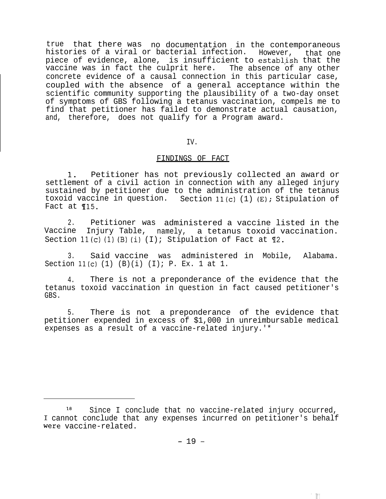true that there was no documentation in the contemporaneous<br>histories of a viral or bacterial infection. However, that one histories of a viral or bacterial infection. piece of evidence, alone, is insufficient to establish that the vaccine was in fact the culprit here. The absence of any other concrete evidence of a causal connection in this particular case, coupled with the absence of a general acceptance within the scientific community supporting the plausibility of a two-day onset of symptoms of GBS following a tetanus vaccination, compels me to find that petitioner has failed to demonstrate actual causation, and, therefore, does not qualify for a Program award.

# IV.

# FINDINGS OF FACT

1. Petitioner has not previously collected an award or settlement of a civil action in connection with any alleged injury sustained by petitioner due to the administration of the tetanus toxoid vaccine in question. Section  $11(c)$  (1) (E); Stipulation of Fact at ¶15.

2. Petitioner was administered a vaccine listed in the Vaccine Injury Table, namely, a tetanus toxoid vaccination. Section  $11(c)$  (1) (B) (i) (I); Stipulation of Fact at  $\n  $\mathbb{I}2$ .$ 

3. Said vaccine was administered in Mobile, Alabama. Section 11(c)  $(1)$   $(B)(i)$   $(I)$ ; P. Ex. 1 at 1.

4. There is not a preponderance of the evidence that the tetanus toxoid vaccination in question in fact caused petitioner's GBS.

5. There is not a preponderance of the evidence that petitioner expended in excess of \$1,000 in unreimbursable medical expenses as a result of a vaccine-related injury.'\*

<sup>&</sup>lt;sup>18</sup> Since I conclude that no vaccine-related injury occurred, 1 cannot conclude that any expenses incurred on petitioner's behalf were vaccine-related.